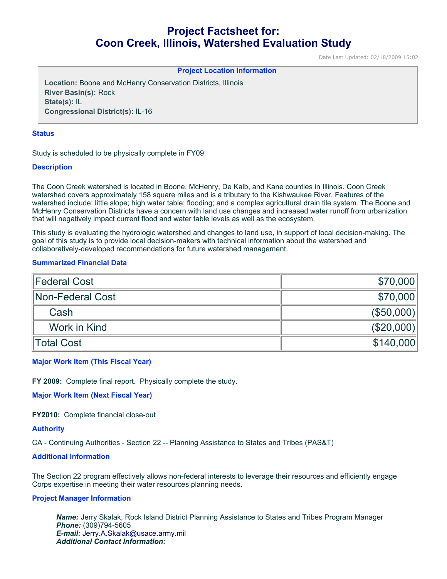# **Project Factsheet for: Coon Creek, Illinois, Watershed Evaluation Study**

Date Last Updated: 02/18/2009 15:02

### **Project Location Information**

**Location:** Boone and McHenry Conservation Districts, Illinois **River Basin(s):** Rock **State(s):** IL **Congressional District(s):** IL-16

#### **Status**

Study is scheduled to be physically complete in FY09.

## **Description**

The Coon Creek watershed is located in Boone, McHenry, De Kalb, and Kane counties in Illinois. Coon Creek watershed covers approximately 158 square miles and is a tributary to the Kishwaukee River. Features of the watershed include: little slope; high water table; flooding; and a complex agricultural drain tile system. The Boone and McHenry Conservation Districts have a concern with land use changes and increased water runoff from urbanization that will negatively impact current flood and water table levels as well as the ecosystem.

This study is evaluating the hydrologic watershed and changes to land use, in support of local decision-making. The goal of this study is to provide local decision-makers with technical information about the watershed and collaboratively-developed recommendations for future watershed management.

## **Summarized Financial Data**

| Federal Cost     | \$70,000   |
|------------------|------------|
| Non-Federal Cost | \$70,000   |
| Cash             | ( \$50,000 |
| Work in Kind     | (\$20,000) |
| Total Cost       | \$140,000  |

### **Major Work Item (This Fiscal Year)**

**FY 2009:** Complete final report. Physically complete the study.

**Major Work Item (Next Fiscal Year)**

**FY2010:** Complete financial close-out

# **Authority**

CA - Continuing Authorities - Section 22 -- Planning Assistance to States and Tribes (PAS&T)

# **Additional Information**

The Section 22 program effectively allows non-federal interests to leverage their resources and efficiently engage Corps expertise in meeting their water resources planning needs.

## **Project Manager Information**

*Name:* Jerry Skalak, Rock Island District Planning Assistance to States and Tribes Program Manager *Phone:* (309)794-5605 *E-mail:* [Jerry.A.Skalak@usace.army.mil](mailto:Jerry.A.Skalak@usace.army.mil) *Additional Contact Information:*